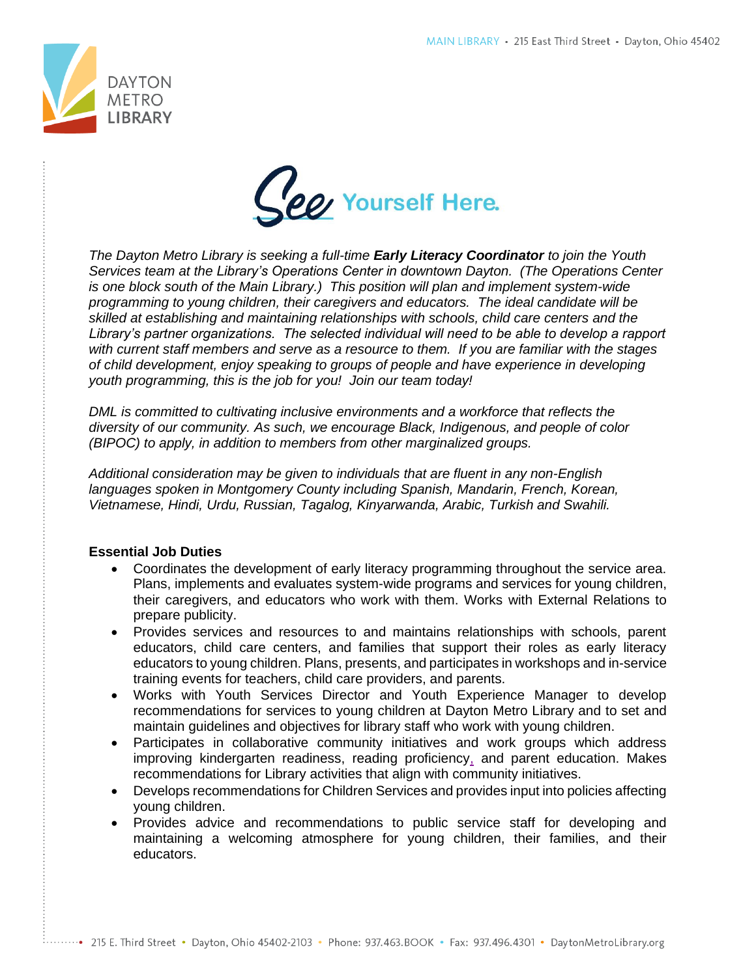



*The Dayton Metro Library is seeking a full-time Early Literacy Coordinator to join the Youth Services team at the Library's Operations Center in downtown Dayton. (The Operations Center is one block south of the Main Library.) This position will plan and implement system-wide programming to young children, their caregivers and educators. The ideal candidate will be skilled at establishing and maintaining relationships with schools, child care centers and the Library's partner organizations. The selected individual will need to be able to develop a rapport with current staff members and serve as a resource to them. If you are familiar with the stages of child development, enjoy speaking to groups of people and have experience in developing youth programming, this is the job for you! Join our team today!*

*DML is committed to cultivating inclusive environments and a workforce that reflects the diversity of our community. As such, we encourage Black, Indigenous, and people of color (BIPOC) to apply, in addition to members from other marginalized groups.* 

*Additional consideration may be given to individuals that are fluent in any non-English languages spoken in Montgomery County including Spanish, Mandarin, French, Korean, Vietnamese, Hindi, Urdu, Russian, Tagalog, Kinyarwanda, Arabic, Turkish and Swahili.*

## **Essential Job Duties**

- Coordinates the development of early literacy programming throughout the service area. Plans, implements and evaluates system-wide programs and services for young children, their caregivers, and educators who work with them. Works with External Relations to prepare publicity.
- Provides services and resources to and maintains relationships with schools, parent educators, child care centers, and families that support their roles as early literacy educators to young children. Plans, presents, and participates in workshops and in-service training events for teachers, child care providers, and parents.
- Works with Youth Services Director and Youth Experience Manager to develop recommendations for services to young children at Dayton Metro Library and to set and maintain guidelines and objectives for library staff who work with young children.
- Participates in collaborative community initiatives and work groups which address improving kindergarten readiness, reading proficiency, and parent education. Makes recommendations for Library activities that align with community initiatives.
- Develops recommendations for Children Services and provides input into policies affecting young children.
- Provides advice and recommendations to public service staff for developing and maintaining a welcoming atmosphere for young children, their families, and their educators.